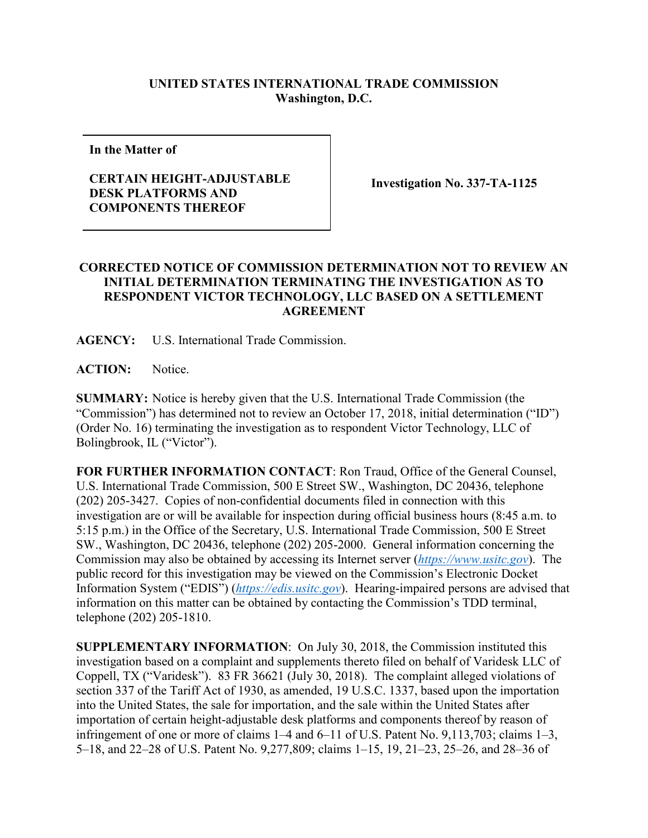## **UNITED STATES INTERNATIONAL TRADE COMMISSION Washington, D.C.**

**In the Matter of**

## **CERTAIN HEIGHT-ADJUSTABLE DESK PLATFORMS AND COMPONENTS THEREOF**

**Investigation No. 337-TA-1125**

## **CORRECTED NOTICE OF COMMISSION DETERMINATION NOT TO REVIEW AN INITIAL DETERMINATION TERMINATING THE INVESTIGATION AS TO RESPONDENT VICTOR TECHNOLOGY, LLC BASED ON A SETTLEMENT AGREEMENT**

**AGENCY:** U.S. International Trade Commission.

**ACTION:** Notice.

**SUMMARY:** Notice is hereby given that the U.S. International Trade Commission (the "Commission") has determined not to review an October 17, 2018, initial determination ("ID") (Order No. 16) terminating the investigation as to respondent Victor Technology, LLC of Bolingbrook, IL ("Victor").

**FOR FURTHER INFORMATION CONTACT**: Ron Traud, Office of the General Counsel, U.S. International Trade Commission, 500 E Street SW., Washington, DC 20436, telephone (202) 205-3427. Copies of non-confidential documents filed in connection with this investigation are or will be available for inspection during official business hours (8:45 a.m. to 5:15 p.m.) in the Office of the Secretary, U.S. International Trade Commission, 500 E Street SW., Washington, DC 20436, telephone (202) 205-2000. General information concerning the Commission may also be obtained by accessing its Internet server (*[https://www.usitc.gov](https://www.usitc.gov/)*). The public record for this investigation may be viewed on the Commission's Electronic Docket Information System ("EDIS") (*[https://edis.usitc.gov](https://edis.usitc.gov/)*). Hearing-impaired persons are advised that information on this matter can be obtained by contacting the Commission's TDD terminal, telephone (202) 205-1810.

**SUPPLEMENTARY INFORMATION**: On July 30, 2018, the Commission instituted this investigation based on a complaint and supplements thereto filed on behalf of Varidesk LLC of Coppell, TX ("Varidesk"). 83 FR 36621 (July 30, 2018). The complaint alleged violations of section 337 of the Tariff Act of 1930, as amended, 19 U.S.C. 1337, based upon the importation into the United States, the sale for importation, and the sale within the United States after importation of certain height-adjustable desk platforms and components thereof by reason of infringement of one or more of claims 1–4 and 6–11 of U.S. Patent No. 9,113,703; claims 1–3, 5–18, and 22–28 of U.S. Patent No. 9,277,809; claims 1–15, 19, 21–23, 25–26, and 28–36 of